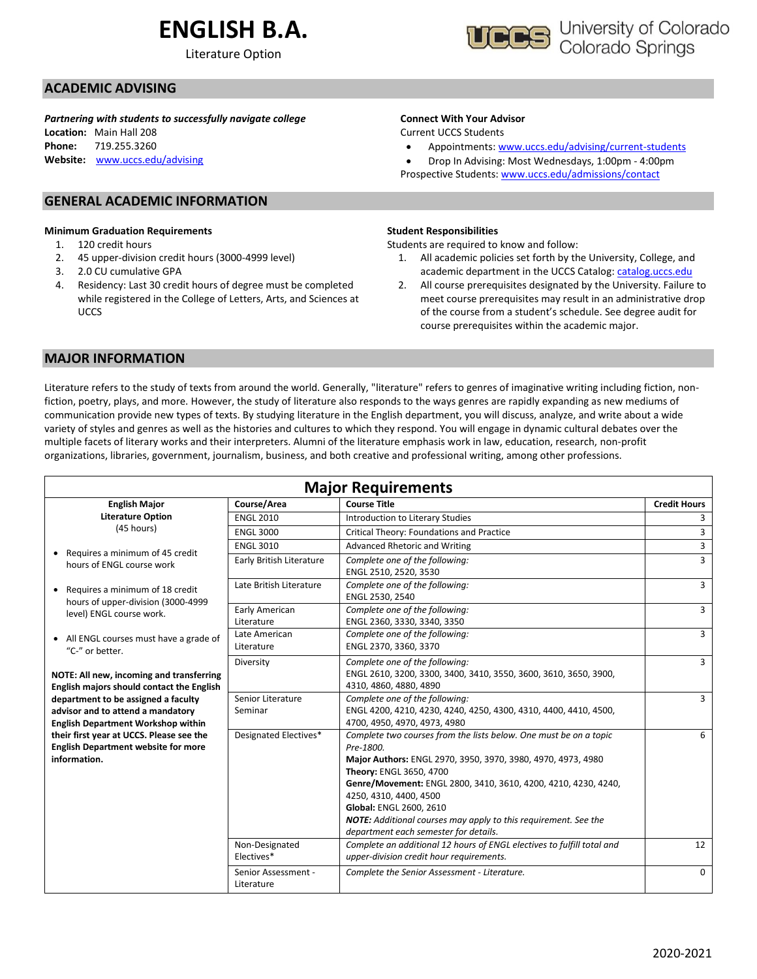# **ENGLISH B.A.**

Literature Option



### **ACADEMIC ADVISING**

*Partnering with students to successfully navigate college*

**Location:** Main Hall 208 **Phone:** 719.255.3260 **Website:** [www.uccs.edu/advising](http://www.uccs.edu/advising)

#### **GENERAL ACADEMIC INFORMATION**

#### **Minimum Graduation Requirements**

- 1. 120 credit hours
- 2. 45 upper-division credit hours (3000-4999 level)
- 3. 2.0 CU cumulative GPA
- 4. Residency: Last 30 credit hours of degree must be completed while registered in the College of Letters, Arts, and Sciences at UCCS

#### **Connect With Your Advisor**

Current UCCS Students

• Appointments: [www.uccs.edu/advising/current-students](http://www.uccs.edu/advising/current-students)

• Drop In Advising: Most Wednesdays, 1:00pm - 4:00pm Prospective Students: [www.uccs.edu/admissions/contact](http://www.uccs.edu/admissions/contact)

#### **Student Responsibilities**

Students are required to know and follow:

- 1. All academic policies set forth by the University, College, and academic department in the UCCS Catalog[: catalog.uccs.edu](file://///columbia/dept/Success/Advising%20Guides/197%20Advising%20Guides/catalog.uccs.edu)
- 2. All course prerequisites designated by the University. Failure to meet course prerequisites may result in an administrative drop of the course from a student's schedule. See degree audit for course prerequisites within the academic major.

#### **MAJOR INFORMATION**

Literature refers to the study of texts from around the world. Generally, "literature" refers to genres of imaginative writing including fiction, nonfiction, poetry, plays, and more. However, the study of literature also responds to the ways genres are rapidly expanding as new mediums of communication provide new types of texts. By studying literature in the English department, you will discuss, analyze, and write about a wide variety of styles and genres as well as the histories and cultures to which they respond. You will engage in dynamic cultural debates over the multiple facets of literary works and their interpreters. Alumni of the literature emphasis work in law, education, research, non-profit organizations, libraries, government, journalism, business, and both creative and professional writing, among other professions.

| <b>Major Requirements</b>                                                                                             |                                   |                                                                                                                                                                                                                                                                                                                                                                                                                     |                     |  |  |  |  |  |
|-----------------------------------------------------------------------------------------------------------------------|-----------------------------------|---------------------------------------------------------------------------------------------------------------------------------------------------------------------------------------------------------------------------------------------------------------------------------------------------------------------------------------------------------------------------------------------------------------------|---------------------|--|--|--|--|--|
| <b>English Major</b>                                                                                                  | Course/Area                       | <b>Course Title</b>                                                                                                                                                                                                                                                                                                                                                                                                 | <b>Credit Hours</b> |  |  |  |  |  |
| <b>Literature Option</b>                                                                                              | <b>ENGL 2010</b>                  | Introduction to Literary Studies                                                                                                                                                                                                                                                                                                                                                                                    | 3                   |  |  |  |  |  |
| (45 hours)                                                                                                            | <b>ENGL 3000</b>                  | Critical Theory: Foundations and Practice                                                                                                                                                                                                                                                                                                                                                                           | 3                   |  |  |  |  |  |
|                                                                                                                       | <b>ENGL 3010</b>                  | Advanced Rhetoric and Writing                                                                                                                                                                                                                                                                                                                                                                                       | 3                   |  |  |  |  |  |
| Requires a minimum of 45 credit<br>hours of ENGL course work                                                          | Early British Literature          | Complete one of the following:<br>ENGL 2510, 2520, 3530                                                                                                                                                                                                                                                                                                                                                             | 3                   |  |  |  |  |  |
| Requires a minimum of 18 credit<br>$\bullet$<br>hours of upper-division (3000-4999                                    | Late British Literature           | Complete one of the following:<br>ENGL 2530, 2540                                                                                                                                                                                                                                                                                                                                                                   |                     |  |  |  |  |  |
| level) ENGL course work.                                                                                              | Early American<br>Literature      | Complete one of the following:<br>ENGL 2360, 3330, 3340, 3350                                                                                                                                                                                                                                                                                                                                                       | $\overline{3}$      |  |  |  |  |  |
| • All ENGL courses must have a grade of<br>"C-" or better.                                                            | Late American<br>Literature       | Complete one of the following:<br>ENGL 2370, 3360, 3370                                                                                                                                                                                                                                                                                                                                                             | 3                   |  |  |  |  |  |
| NOTE: All new, incoming and transferring<br>English majors should contact the English                                 | Diversity                         | Complete one of the following:<br>ENGL 2610, 3200, 3300, 3400, 3410, 3550, 3600, 3610, 3650, 3900,<br>4310, 4860, 4880, 4890                                                                                                                                                                                                                                                                                        | 3                   |  |  |  |  |  |
| department to be assigned a faculty<br>advisor and to attend a mandatory<br><b>English Department Workshop within</b> | Senior Literature<br>Seminar      | Complete one of the following:<br>ENGL 4200, 4210, 4230, 4240, 4250, 4300, 4310, 4400, 4410, 4500,<br>4700, 4950, 4970, 4973, 4980                                                                                                                                                                                                                                                                                  | 3                   |  |  |  |  |  |
| their first year at UCCS. Please see the<br><b>English Department website for more</b><br>information.                | Designated Electives*             | Complete two courses from the lists below. One must be on a topic<br>Pre-1800.<br>Major Authors: ENGL 2970, 3950, 3970, 3980, 4970, 4973, 4980<br>Theory: ENGL 3650, 4700<br>Genre/Movement: ENGL 2800, 3410, 3610, 4200, 4210, 4230, 4240,<br>4250, 4310, 4400, 4500<br>Global: ENGL 2600, 2610<br><b>NOTE:</b> Additional courses may apply to this requirement. See the<br>department each semester for details. | 6                   |  |  |  |  |  |
|                                                                                                                       | Non-Designated<br>Electives*      | Complete an additional 12 hours of ENGL electives to fulfill total and<br>upper-division credit hour requirements.                                                                                                                                                                                                                                                                                                  | 12                  |  |  |  |  |  |
|                                                                                                                       | Senior Assessment -<br>Literature | Complete the Senior Assessment - Literature.                                                                                                                                                                                                                                                                                                                                                                        | $\Omega$            |  |  |  |  |  |